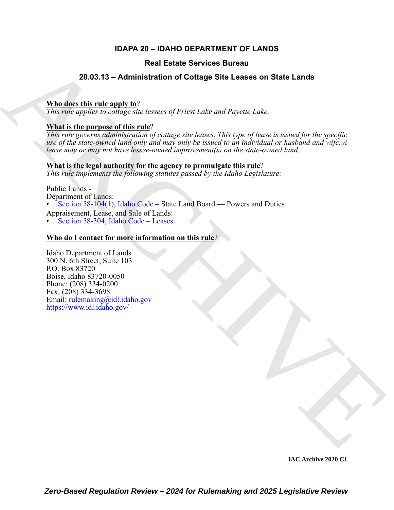# **IDAPA 20 – IDAHO DEPARTMENT OF LANDS**

# **Real Estate Services Bureau**

# **20.03.13 – Administration of Cottage Site Leases on State Lands**

#### **Who does this rule apply to**?

*This rule applies to cottage site lessees of Priest Lake and Payette Lake.*

### **What is the purpose of this rule**?

**Example 20.03.13 – Administration of [C](https://legislature.idaho.gov/statutesrules/idstat/Title58/T58CH3/SECT58-304/)ottage Site Leases on State Lands<br>
This rate opplies to entropy with lease and Property and Property Factor<br>
This rate opplies to entropy with lease on**  $\eta$  **Priest Factor. This repet** *This rule governs administration of cottage site leases. This type of lease is issued for the specific use of the state-owned land only and may only be issued to an individual or husband and wife. A lease may or may not have lessee-owned improvement(s) on the state-owned land.*

# **What is the legal authority for the agency to promulgate this rule**?

*This rule implements the following statutes passed by the Idaho Legislature:*

Public Lands -

Department of Lands:

- Section 58-104(1), Idaho Code State Land Board Powers and Duties
- Appraisement, Lease, and Sale of Lands:
- Section 58-304, Idaho Code Leases

### **Who do I contact for more information on this rule**?

Idaho Department of Lands 300 N. 6th Street, Suite 103 P.O. Box 83720 Boise, Idaho 83720-0050 Phone: (208) 334-0200 Fax:  $(208)$  334-3698 Email: rulemaking@idl.idaho.gov https://www.idl.idaho.gov/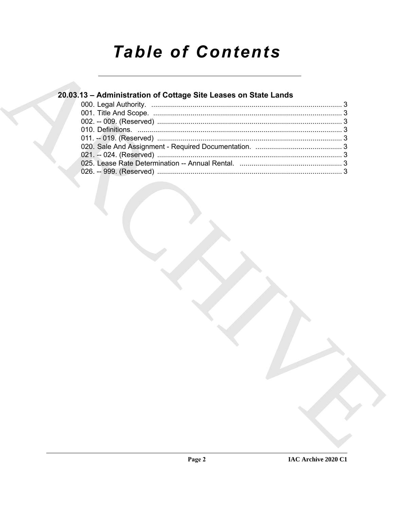# **Table of Contents**

# 20.03.13 - Administration of Cottage Site Leases on State Lands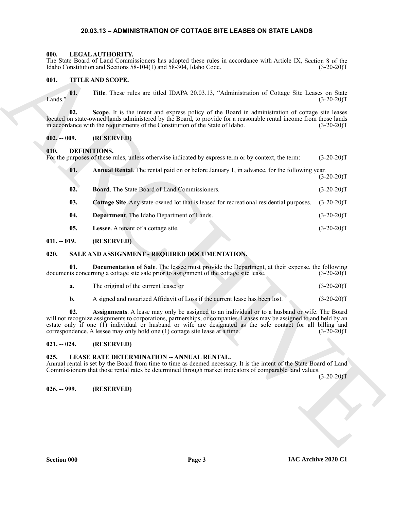#### <span id="page-2-17"></span>**20.03.13 – ADMINISTRATION OF COTTAGE SITE LEASES ON STATE LANDS**

#### <span id="page-2-1"></span><span id="page-2-0"></span>**000. LEGAL AUTHORITY.**

#### <span id="page-2-21"></span><span id="page-2-2"></span>**001. TITLE AND SCOPE.**

#### <span id="page-2-3"></span>**002. -- 009. (RESERVED)**

#### <span id="page-2-12"></span><span id="page-2-11"></span><span id="page-2-10"></span><span id="page-2-4"></span>**010. DEFINITIONS.**

| The State Board of Land Commissioners has adopted these rules in accordance with Article IX, Section 8 of the<br>Idaho Constitution and Sections 58-104(1) and 58-304, Idaho Code.<br>$(3-20-20)T$ |     |                                                                                                        |                                                                                                                                                                                                                                                                                                                                                                                                                                                                                                                                                                                                                                                                                                                                                                                                                                                                                                                                                                                                                                                                                          |  |  |  |
|----------------------------------------------------------------------------------------------------------------------------------------------------------------------------------------------------|-----|--------------------------------------------------------------------------------------------------------|------------------------------------------------------------------------------------------------------------------------------------------------------------------------------------------------------------------------------------------------------------------------------------------------------------------------------------------------------------------------------------------------------------------------------------------------------------------------------------------------------------------------------------------------------------------------------------------------------------------------------------------------------------------------------------------------------------------------------------------------------------------------------------------------------------------------------------------------------------------------------------------------------------------------------------------------------------------------------------------------------------------------------------------------------------------------------------------|--|--|--|
| 001.<br>TITLE AND SCOPE.                                                                                                                                                                           |     |                                                                                                        |                                                                                                                                                                                                                                                                                                                                                                                                                                                                                                                                                                                                                                                                                                                                                                                                                                                                                                                                                                                                                                                                                          |  |  |  |
|                                                                                                                                                                                                    | 01. | Title. These rules are titled IDAPA 20.03.13, "Administration of Cottage Site Leases on State          | $(3-20-20)T$                                                                                                                                                                                                                                                                                                                                                                                                                                                                                                                                                                                                                                                                                                                                                                                                                                                                                                                                                                                                                                                                             |  |  |  |
|                                                                                                                                                                                                    | 02. | Scope. It is the intent and express policy of the Board in administration of cottage site leases       | $(3-20-20)T$                                                                                                                                                                                                                                                                                                                                                                                                                                                                                                                                                                                                                                                                                                                                                                                                                                                                                                                                                                                                                                                                             |  |  |  |
|                                                                                                                                                                                                    |     | (RESERVED)                                                                                             |                                                                                                                                                                                                                                                                                                                                                                                                                                                                                                                                                                                                                                                                                                                                                                                                                                                                                                                                                                                                                                                                                          |  |  |  |
| 010.                                                                                                                                                                                               |     |                                                                                                        | $(3-20-20)T$                                                                                                                                                                                                                                                                                                                                                                                                                                                                                                                                                                                                                                                                                                                                                                                                                                                                                                                                                                                                                                                                             |  |  |  |
|                                                                                                                                                                                                    | 01. | <b>Annual Rental.</b> The rental paid on or before January 1, in advance, for the following year.      | $(3-20-20)T$                                                                                                                                                                                                                                                                                                                                                                                                                                                                                                                                                                                                                                                                                                                                                                                                                                                                                                                                                                                                                                                                             |  |  |  |
|                                                                                                                                                                                                    | 02. | <b>Board.</b> The State Board of Land Commissioners.                                                   | $(3-20-20)T$                                                                                                                                                                                                                                                                                                                                                                                                                                                                                                                                                                                                                                                                                                                                                                                                                                                                                                                                                                                                                                                                             |  |  |  |
|                                                                                                                                                                                                    | 03. | Cottage Site. Any state-owned lot that is leased for recreational residential purposes.                | $(3-20-20)T$                                                                                                                                                                                                                                                                                                                                                                                                                                                                                                                                                                                                                                                                                                                                                                                                                                                                                                                                                                                                                                                                             |  |  |  |
|                                                                                                                                                                                                    | 04. | Department. The Idaho Department of Lands.                                                             | $(3-20-20)T$                                                                                                                                                                                                                                                                                                                                                                                                                                                                                                                                                                                                                                                                                                                                                                                                                                                                                                                                                                                                                                                                             |  |  |  |
|                                                                                                                                                                                                    | 05. | Lessee. A tenant of a cottage site.                                                                    | $(3-20-20)T$                                                                                                                                                                                                                                                                                                                                                                                                                                                                                                                                                                                                                                                                                                                                                                                                                                                                                                                                                                                                                                                                             |  |  |  |
|                                                                                                                                                                                                    |     | (RESERVED)                                                                                             |                                                                                                                                                                                                                                                                                                                                                                                                                                                                                                                                                                                                                                                                                                                                                                                                                                                                                                                                                                                                                                                                                          |  |  |  |
| 020.                                                                                                                                                                                               |     |                                                                                                        |                                                                                                                                                                                                                                                                                                                                                                                                                                                                                                                                                                                                                                                                                                                                                                                                                                                                                                                                                                                                                                                                                          |  |  |  |
|                                                                                                                                                                                                    | 01. | <b>Documentation of Sale</b> . The lessee must provide the Department, at their expense, the following | $(3-20-20)T$                                                                                                                                                                                                                                                                                                                                                                                                                                                                                                                                                                                                                                                                                                                                                                                                                                                                                                                                                                                                                                                                             |  |  |  |
|                                                                                                                                                                                                    | a.  | The original of the current lease; or                                                                  | $(3-20-20)T$                                                                                                                                                                                                                                                                                                                                                                                                                                                                                                                                                                                                                                                                                                                                                                                                                                                                                                                                                                                                                                                                             |  |  |  |
|                                                                                                                                                                                                    | b.  | A signed and notarized Affidavit of Loss if the current lease has been lost.                           | $(3-20-20)T$                                                                                                                                                                                                                                                                                                                                                                                                                                                                                                                                                                                                                                                                                                                                                                                                                                                                                                                                                                                                                                                                             |  |  |  |
|                                                                                                                                                                                                    | 02. | Assignments. A lease may only be assigned to an individual or to a husband or wife. The Board          | $(3-20-20)T$                                                                                                                                                                                                                                                                                                                                                                                                                                                                                                                                                                                                                                                                                                                                                                                                                                                                                                                                                                                                                                                                             |  |  |  |
|                                                                                                                                                                                                    |     | (RESERVED)                                                                                             |                                                                                                                                                                                                                                                                                                                                                                                                                                                                                                                                                                                                                                                                                                                                                                                                                                                                                                                                                                                                                                                                                          |  |  |  |
| 025.                                                                                                                                                                                               |     |                                                                                                        | $(3-20-20)T$                                                                                                                                                                                                                                                                                                                                                                                                                                                                                                                                                                                                                                                                                                                                                                                                                                                                                                                                                                                                                                                                             |  |  |  |
|                                                                                                                                                                                                    |     | (RESERVED)                                                                                             |                                                                                                                                                                                                                                                                                                                                                                                                                                                                                                                                                                                                                                                                                                                                                                                                                                                                                                                                                                                                                                                                                          |  |  |  |
|                                                                                                                                                                                                    |     |                                                                                                        |                                                                                                                                                                                                                                                                                                                                                                                                                                                                                                                                                                                                                                                                                                                                                                                                                                                                                                                                                                                                                                                                                          |  |  |  |
|                                                                                                                                                                                                    |     |                                                                                                        |                                                                                                                                                                                                                                                                                                                                                                                                                                                                                                                                                                                                                                                                                                                                                                                                                                                                                                                                                                                                                                                                                          |  |  |  |
|                                                                                                                                                                                                    |     |                                                                                                        |                                                                                                                                                                                                                                                                                                                                                                                                                                                                                                                                                                                                                                                                                                                                                                                                                                                                                                                                                                                                                                                                                          |  |  |  |
|                                                                                                                                                                                                    |     |                                                                                                        |                                                                                                                                                                                                                                                                                                                                                                                                                                                                                                                                                                                                                                                                                                                                                                                                                                                                                                                                                                                                                                                                                          |  |  |  |
|                                                                                                                                                                                                    |     | Lands."<br>$002. - 009.$<br>$011. - 019.$<br>$021. - 024.$<br>$026. - 999.$                            | located on state-owned lands administered by the Board, to provide for a reasonable rental income from those lands<br>in accordance with the requirements of the Constitution of the State of Idaho.<br><b>DEFINITIONS.</b><br>For the purposes of these rules, unless otherwise indicated by express term or by context, the term:<br>SALE AND ASSIGNMENT - REQUIRED DOCUMENTATION.<br>documents concerning a cottage site sale prior to assignment of the cottage site lease.<br>will not recognize assignments to corporations, partnerships, or companies. Leases may be assigned to and held by an<br>estate only if one (1) individual or husband or wife are designated as the sole contact for all billing and<br>correspondence. A lessee may only hold one (1) cottage site lease at a time.<br>LEASE RATE DETERMINATION -- ANNUAL RENTAL.<br>Annual rental is set by the Board from time to time as deemed necessary. It is the intent of the State Board of Land<br>Commissioners that those rental rates be determined through market indicators of comparable land values. |  |  |  |

#### <span id="page-2-15"></span><span id="page-2-14"></span><span id="page-2-13"></span><span id="page-2-5"></span>**011. -- 019. (RESERVED)**

#### <span id="page-2-18"></span><span id="page-2-6"></span>**020. SALE AND ASSIGNMENT - REQUIRED DOCUMENTATION.**

<span id="page-2-20"></span><span id="page-2-19"></span>

| a. | The original of the current lease; or |  | $(3-20-20)T$ |
|----|---------------------------------------|--|--------------|
|    |                                       |  |              |

#### <span id="page-2-7"></span>**021. -- 024. (RESERVED)**

#### <span id="page-2-16"></span><span id="page-2-9"></span><span id="page-2-8"></span>**025. LEASE RATE DETERMINATION -- ANNUAL RENTAL.**